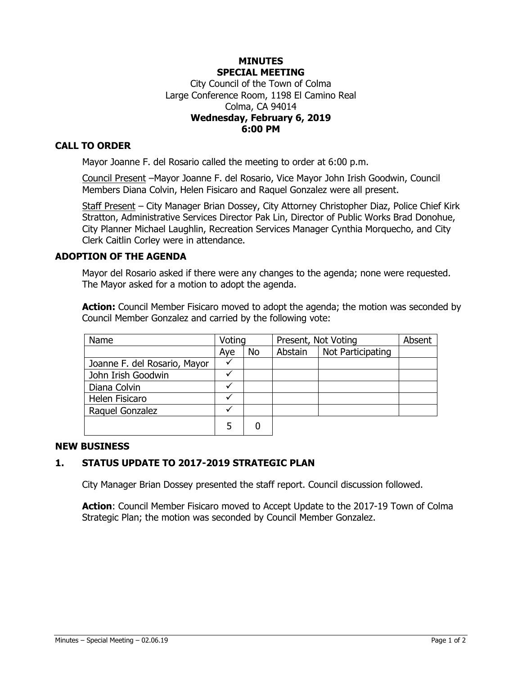#### **MINUTES SPECIAL MEETING** City Council of the Town of Colma Large Conference Room, 1198 El Camino Real Colma, CA 94014 **Wednesday, February 6, 2019 6:00 PM**

## **CALL TO ORDER**

Mayor Joanne F. del Rosario called the meeting to order at 6:00 p.m.

Council Present –Mayor Joanne F. del Rosario, Vice Mayor John Irish Goodwin, Council Members Diana Colvin, Helen Fisicaro and Raquel Gonzalez were all present.

Staff Present - City Manager Brian Dossey, City Attorney Christopher Diaz, Police Chief Kirk Stratton, Administrative Services Director Pak Lin, Director of Public Works Brad Donohue, City Planner Michael Laughlin, Recreation Services Manager Cynthia Morquecho, and City Clerk Caitlin Corley were in attendance.

#### **ADOPTION OF THE AGENDA**

Mayor del Rosario asked if there were any changes to the agenda; none were requested. The Mayor asked for a motion to adopt the agenda.

**Action:** Council Member Fisicaro moved to adopt the agenda; the motion was seconded by Council Member Gonzalez and carried by the following vote:

| Name                         | Voting |           | Present, Not Voting |                   | Absent |
|------------------------------|--------|-----------|---------------------|-------------------|--------|
|                              | Aye    | <b>No</b> | Abstain             | Not Participating |        |
| Joanne F. del Rosario, Mayor |        |           |                     |                   |        |
| John Irish Goodwin           |        |           |                     |                   |        |
| Diana Colvin                 |        |           |                     |                   |        |
| Helen Fisicaro               |        |           |                     |                   |        |
| Raquel Gonzalez              |        |           |                     |                   |        |
|                              |        |           |                     |                   |        |

### **NEW BUSINESS**

### **1. STATUS UPDATE TO 2017-2019 STRATEGIC PLAN**

City Manager Brian Dossey presented the staff report. Council discussion followed.

**Action**: Council Member Fisicaro moved to Accept Update to the 2017-19 Town of Colma Strategic Plan; the motion was seconded by Council Member Gonzalez.